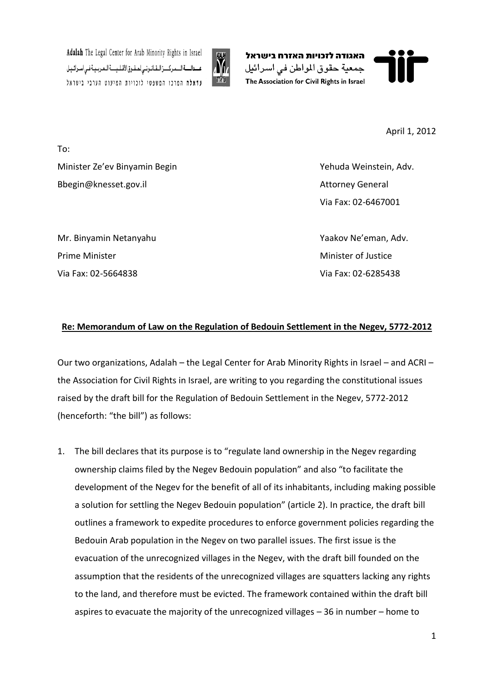







April 1, 2012

To: Minister Ze'ev Binyamin Begin Yehuda Weinstein, Adv. Bbegin@knesset.gov.il and a set of the set of the Attorney General

Mr. Binyamin Netanyahu Yaakov Ne'eman, Adv. **Prime Minister Minister Minister of Justice** Minister of Justice Minister of Justice Via Fax: 02-5664838 Via Fax: 02-6285438

Via Fax: 02-6467001

## **Re: Memorandum of Law on the Regulation of Bedouin Settlement in the Negev, 5772-2012**

Our two organizations, Adalah – the Legal Center for Arab Minority Rights in Israel – and ACRI – the Association for Civil Rights in Israel, are writing to you regarding the constitutional issues raised by the draft bill for the Regulation of Bedouin Settlement in the Negev, 5772-2012 (henceforth: "the bill") as follows:

1. The bill declares that its purpose is to "regulate land ownership in the Negev regarding ownership claims filed by the Negev Bedouin population" and also "to facilitate the development of the Negev for the benefit of all of its inhabitants, including making possible a solution for settling the Negev Bedouin population" (article 2). In practice, the draft bill outlines a framework to expedite procedures to enforce government policies regarding the Bedouin Arab population in the Negev on two parallel issues. The first issue is the evacuation of the unrecognized villages in the Negev, with the draft bill founded on the assumption that the residents of the unrecognized villages are squatters lacking any rights to the land, and therefore must be evicted. The framework contained within the draft bill aspires to evacuate the majority of the unrecognized villages – 36 in number – home to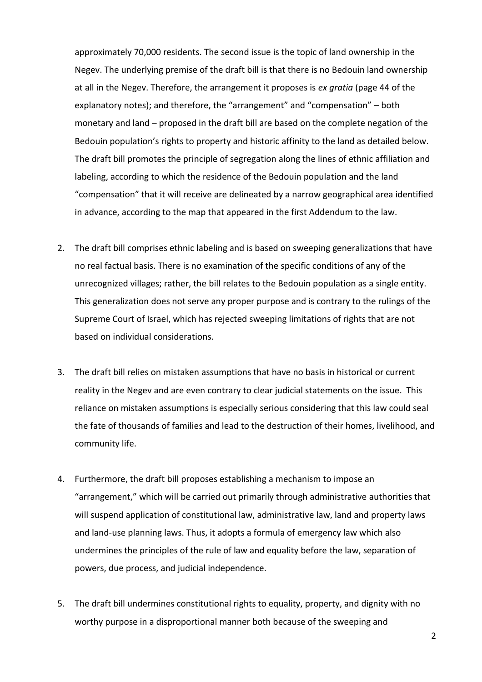approximately 70,000 residents. The second issue is the topic of land ownership in the Negev. The underlying premise of the draft bill is that there is no Bedouin land ownership at all in the Negev. Therefore, the arrangement it proposes is *ex gratia* (page 44 of the explanatory notes); and therefore, the "arrangement" and "compensation" – both monetary and land – proposed in the draft bill are based on the complete negation of the Bedouin population's rights to property and historic affinity to the land as detailed below. The draft bill promotes the principle of segregation along the lines of ethnic affiliation and labeling, according to which the residence of the Bedouin population and the land "compensation" that it will receive are delineated by a narrow geographical area identified in advance, according to the map that appeared in the first Addendum to the law.

- 2. The draft bill comprises ethnic labeling and is based on sweeping generalizations that have no real factual basis. There is no examination of the specific conditions of any of the unrecognized villages; rather, the bill relates to the Bedouin population as a single entity. This generalization does not serve any proper purpose and is contrary to the rulings of the Supreme Court of Israel, which has rejected sweeping limitations of rights that are not based on individual considerations.
- 3. The draft bill relies on mistaken assumptions that have no basis in historical or current reality in the Negev and are even contrary to clear judicial statements on the issue. This reliance on mistaken assumptions is especially serious considering that this law could seal the fate of thousands of families and lead to the destruction of their homes, livelihood, and community life.
- 4. Furthermore, the draft bill proposes establishing a mechanism to impose an "arrangement," which will be carried out primarily through administrative authorities that will suspend application of constitutional law, administrative law, land and property laws and land-use planning laws. Thus, it adopts a formula of emergency law which also undermines the principles of the rule of law and equality before the law, separation of powers, due process, and judicial independence.
- 5. The draft bill undermines constitutional rights to equality, property, and dignity with no worthy purpose in a disproportional manner both because of the sweeping and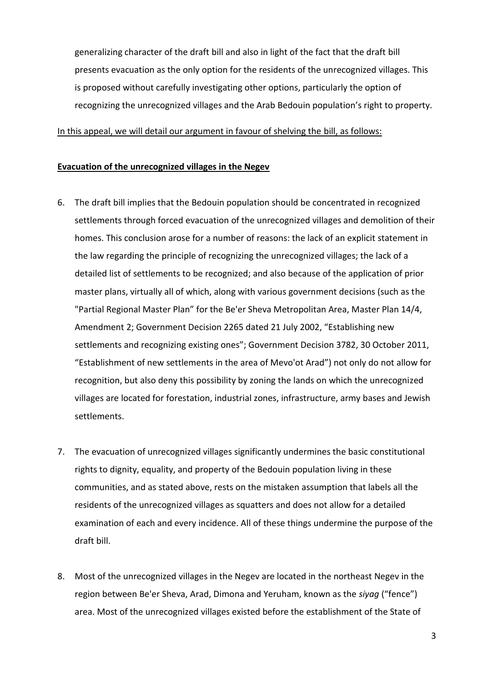generalizing character of the draft bill and also in light of the fact that the draft bill presents evacuation as the only option for the residents of the unrecognized villages. This is proposed without carefully investigating other options, particularly the option of recognizing the unrecognized villages and the Arab Bedouin population's right to property.

In this appeal, we will detail our argument in favour of shelving the bill, as follows:

#### **Evacuation of the unrecognized villages in the Negev**

- 6. The draft bill implies that the Bedouin population should be concentrated in recognized settlements through forced evacuation of the unrecognized villages and demolition of their homes. This conclusion arose for a number of reasons: the lack of an explicit statement in the law regarding the principle of recognizing the unrecognized villages; the lack of a detailed list of settlements to be recognized; and also because of the application of prior master plans, virtually all of which, along with various government decisions (such as the "Partial Regional Master Plan" for the Be'er Sheva Metropolitan Area, Master Plan 14/4, Amendment 2; Government Decision 2265 dated 21 July 2002, "Establishing new settlements and recognizing existing ones"; Government Decision 3782, 30 October 2011, "Establishment of new settlements in the area of Mevo'ot Arad") not only do not allow for recognition, but also deny this possibility by zoning the lands on which the unrecognized villages are located for forestation, industrial zones, infrastructure, army bases and Jewish settlements.
- 7. The evacuation of unrecognized villages significantly undermines the basic constitutional rights to dignity, equality, and property of the Bedouin population living in these communities, and as stated above, rests on the mistaken assumption that labels all the residents of the unrecognized villages as squatters and does not allow for a detailed examination of each and every incidence. All of these things undermine the purpose of the draft bill.
- 8. Most of the unrecognized villages in the Negev are located in the northeast Negev in the region between Be'er Sheva, Arad, Dimona and Yeruham, known as the *siyag* ("fence") area. Most of the unrecognized villages existed before the establishment of the State of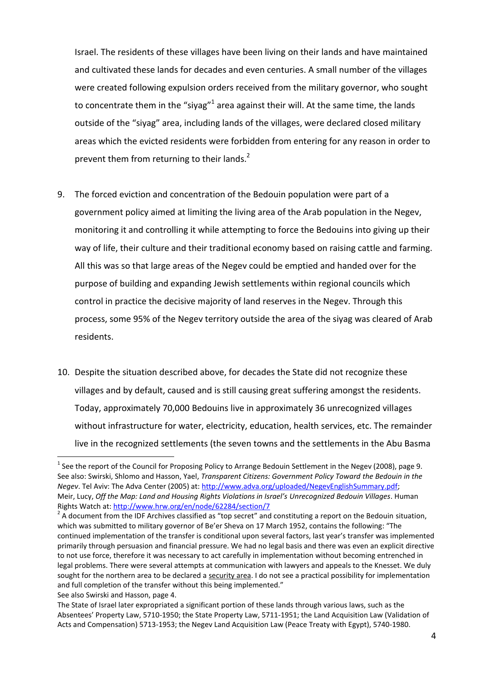Israel. The residents of these villages have been living on their lands and have maintained and cultivated these lands for decades and even centuries. A small number of the villages were created following expulsion orders received from the military governor, who sought to concentrate them in the "siyag"<sup>1</sup> area against their will. At the same time, the lands outside of the "siyag" area, including lands of the villages, were declared closed military areas which the evicted residents were forbidden from entering for any reason in order to prevent them from returning to their lands.<sup>2</sup>

- 9. The forced eviction and concentration of the Bedouin population were part of a government policy aimed at limiting the living area of the Arab population in the Negev, monitoring it and controlling it while attempting to force the Bedouins into giving up their way of life, their culture and their traditional economy based on raising cattle and farming. All this was so that large areas of the Negev could be emptied and handed over for the purpose of building and expanding Jewish settlements within regional councils which control in practice the decisive majority of land reserves in the Negev. Through this process, some 95% of the Negev territory outside the area of the siyag was cleared of Arab residents.
- 10. Despite the situation described above, for decades the State did not recognize these villages and by default, caused and is still causing great suffering amongst the residents. Today, approximately 70,000 Bedouins live in approximately 36 unrecognized villages without infrastructure for water, electricity, education, health services, etc. The remainder live in the recognized settlements (the seven towns and the settlements in the Abu Basma

l

<sup>&</sup>lt;sup>1</sup> See the report of the Council for Proposing Policy to Arrange Bedouin Settlement in the Negev (2008), page 9. See also: Swirski, Shlomo and Hasson, Yael, *Transparent Citizens: Government Policy Toward the Bedouin in the Negev*. Tel Aviv: The Adva Center (2005) at: [http://www.adva.org/uploaded/NegevEnglishSummary.pdf;](http://www.adva.org/uploaded/NegevEnglishSummary.pdf) Meir, Lucy, *Off the Map: Land and Housing Rights Violations in Israel's Unrecognized Bedouin Villages*. Human Rights Watch at:<http://www.hrw.org/en/node/62284/section/7>

 $2$  A document from the IDF Archives classified as "top secret" and constituting a report on the Bedouin situation, which was submitted to military governor of Be'er Sheva on 17 March 1952, contains the following: "The continued implementation of the transfer is conditional upon several factors, last year's transfer was implemented primarily through persuasion and financial pressure. We had no legal basis and there was even an explicit directive to not use force, therefore it was necessary to act carefully in implementation without becoming entrenched in legal problems. There were several attempts at communication with lawyers and appeals to the Knesset. We duly sought for the northern area to be declared a security area. I do not see a practical possibility for implementation and full completion of the transfer without this being implemented."

See also Swirski and Hasson, page 4.

The State of Israel later expropriated a significant portion of these lands through various laws, such as the Absentees' Property Law, 5710-1950; the State Property Law, 5711-1951; the Land Acquisition Law (Validation of Acts and Compensation) 5713-1953; the Negev Land Acquisition Law (Peace Treaty with Egypt), 5740-1980.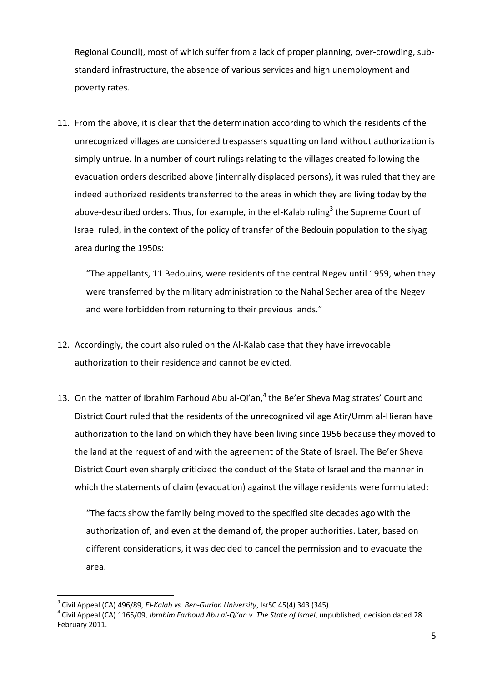Regional Council), most of which suffer from a lack of proper planning, over-crowding, substandard infrastructure, the absence of various services and high unemployment and poverty rates.

11. From the above, it is clear that the determination according to which the residents of the unrecognized villages are considered trespassers squatting on land without authorization is simply untrue. In a number of court rulings relating to the villages created following the evacuation orders described above (internally displaced persons), it was ruled that they are indeed authorized residents transferred to the areas in which they are living today by the above-described orders. Thus, for example, in the el-Kalab ruling $^3$  the Supreme Court of Israel ruled, in the context of the policy of transfer of the Bedouin population to the siyag area during the 1950s:

"The appellants, 11 Bedouins, were residents of the central Negev until 1959, when they were transferred by the military administration to the Nahal Secher area of the Negev and were forbidden from returning to their previous lands."

- 12. Accordingly, the court also ruled on the Al-Kalab case that they have irrevocable authorization to their residence and cannot be evicted.
- 13. On the matter of Ibrahim Farhoud Abu al-Qi'an,<sup>4</sup> the Be'er Sheva Magistrates' Court and District Court ruled that the residents of the unrecognized village Atir/Umm al-Hieran have authorization to the land on which they have been living since 1956 because they moved to the land at the request of and with the agreement of the State of Israel. The Be'er Sheva District Court even sharply criticized the conduct of the State of Israel and the manner in which the statements of claim (evacuation) against the village residents were formulated:

"The facts show the family being moved to the specified site decades ago with the authorization of, and even at the demand of, the proper authorities. Later, based on different considerations, it was decided to cancel the permission and to evacuate the area.

 3 Civil Appeal (CA) 496/89, *El-Kalab vs. Ben-Gurion University*, IsrSC 45(4) 343 (345).

<sup>4</sup> Civil Appeal (CA) 1165/09, *Ibrahim Farhoud Abu al-Qi'an v. The State of Israel*, unpublished, decision dated 28 February 2011.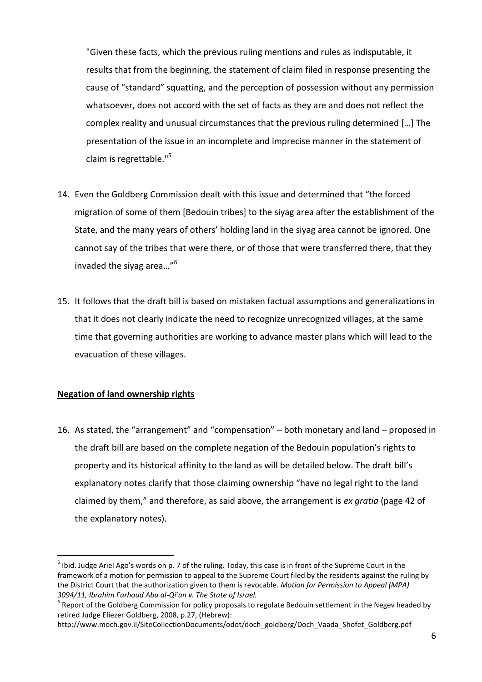"Given these facts, which the previous ruling mentions and rules as indisputable, it results that from the beginning, the statement of claim filed in response presenting the cause of "standard" squatting, and the perception of possession without any permission whatsoever, does not accord with the set of facts as they are and does not reflect the complex reality and unusual circumstances that the previous ruling determined […] The presentation of the issue in an incomplete and imprecise manner in the statement of claim is regrettable." 5

- 14. Even the Goldberg Commission dealt with this issue and determined that "the forced migration of some of them [Bedouin tribes] to the siyag area after the establishment of the State, and the many years of others' holding land in the siyag area cannot be ignored. One cannot say of the tribes that were there, or of those that were transferred there, that they invaded the siyag area…"<sup>6</sup>
- 15. It follows that the draft bill is based on mistaken factual assumptions and generalizations in that it does not clearly indicate the need to recognize unrecognized villages, at the same time that governing authorities are working to advance master plans which will lead to the evacuation of these villages.

### **Negation of land ownership rights**

 $\overline{a}$ 

16. As stated, the "arrangement" and "compensation" – both monetary and land – proposed in the draft bill are based on the complete negation of the Bedouin population's rights to property and its historical affinity to the land as will be detailed below. The draft bill's explanatory notes clarify that those claiming ownership "have no legal right to the land claimed by them," and therefore, as said above, the arrangement is *ex gratia* (page 42 of the explanatory notes).

 $^5$  Ibid. Judge Ariel Ago's words on p. 7 of the ruling. Today, this case is in front of the Supreme Court in the framework of a motion for permission to appeal to the Supreme Court filed by the residents against the ruling by the District Court that the authorization given to them is revocable. *Motion for Permission to Appeal (MPA) 3094/11, Ibrahim Farhoud Abu al-Qi'an v. The State of Israel.*

 $^6$  Report of the Goldberg Commission for policy proposals to regulate Bedouin settlement in the Negev headed by retired Judge Eliezer Goldberg, 2008, p.27, (Hebrew):

http://www.moch.gov.il/SiteCollectionDocuments/odot/doch\_goldberg/Doch\_Vaada\_Shofet\_Goldberg.pdf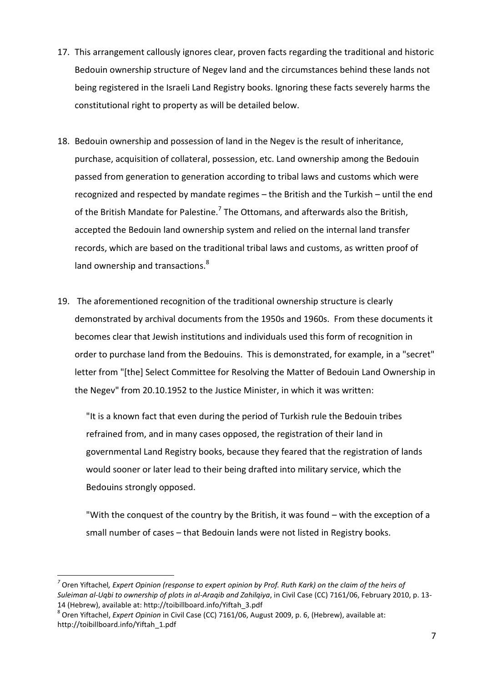- 17. This arrangement callously ignores clear, proven facts regarding the traditional and historic Bedouin ownership structure of Negev land and the circumstances behind these lands not being registered in the Israeli Land Registry books. Ignoring these facts severely harms the constitutional right to property as will be detailed below.
- 18. Bedouin ownership and possession of land in the Negev is the result of inheritance, purchase, acquisition of collateral, possession, etc. Land ownership among the Bedouin passed from generation to generation according to tribal laws and customs which were recognized and respected by mandate regimes – the British and the Turkish – until the end of the British Mandate for Palestine.<sup>7</sup> The Ottomans, and afterwards also the British, accepted the Bedouin land ownership system and relied on the internal land transfer records, which are based on the traditional tribal laws and customs, as written proof of land ownership and transactions.<sup>8</sup>
- 19. The aforementioned recognition of the traditional ownership structure is clearly demonstrated by archival documents from the 1950s and 1960s. From these documents it becomes clear that Jewish institutions and individuals used this form of recognition in order to purchase land from the Bedouins. This is demonstrated, for example, in a "secret" letter from "[the] Select Committee for Resolving the Matter of Bedouin Land Ownership in the Negev" from 20.10.1952 to the Justice Minister, in which it was written:

"It is a known fact that even during the period of Turkish rule the Bedouin tribes refrained from, and in many cases opposed, the registration of their land in governmental Land Registry books, because they feared that the registration of lands would sooner or later lead to their being drafted into military service, which the Bedouins strongly opposed.

"With the conquest of the country by the British, it was found – with the exception of a small number of cases – that Bedouin lands were not listed in Registry books.

l

*<sup>7</sup>* Oren Yiftachel*, Expert Opinion (response to expert opinion by Prof. Ruth Kark) on the claim of the heirs of Suleiman al-Uqbi to ownership of plots in al-Araqib and Zahilqiya*, in Civil Case (CC) 7161/06, February 2010, p. 13- 14 (Hebrew), available at: http://toibillboard.info/Yiftah\_3.pdf

<sup>8</sup> Oren Yiftachel, *Expert Opinion* in Civil Case (CC) 7161/06, August 2009, p. 6, (Hebrew), available at: http://toibillboard.info/Yiftah\_1.pdf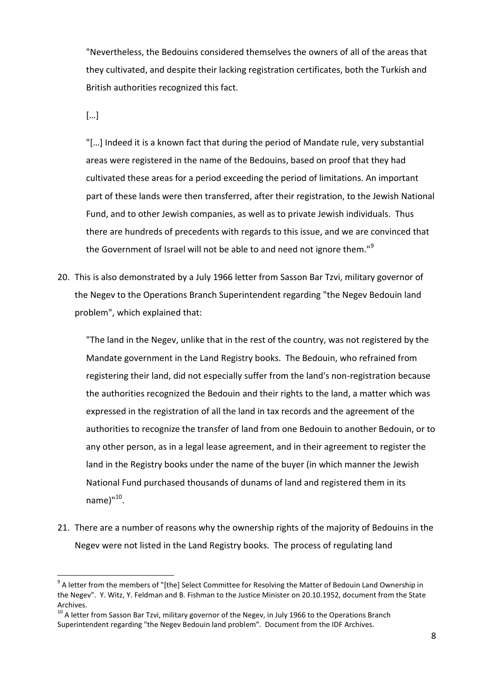"Nevertheless, the Bedouins considered themselves the owners of all of the areas that they cultivated, and despite their lacking registration certificates, both the Turkish and British authorities recognized this fact.

[…]

"[…] Indeed it is a known fact that during the period of Mandate rule, very substantial areas were registered in the name of the Bedouins, based on proof that they had cultivated these areas for a period exceeding the period of limitations. An important part of these lands were then transferred, after their registration, to the Jewish National Fund, and to other Jewish companies, as well as to private Jewish individuals. Thus there are hundreds of precedents with regards to this issue, and we are convinced that the Government of Israel will not be able to and need not ignore them."<sup>9</sup>

20. This is also demonstrated by a July 1966 letter from Sasson Bar Tzvi, military governor of the Negev to the Operations Branch Superintendent regarding "the Negev Bedouin land problem", which explained that:

"The land in the Negev, unlike that in the rest of the country, was not registered by the Mandate government in the Land Registry books. The Bedouin, who refrained from registering their land, did not especially suffer from the land's non-registration because the authorities recognized the Bedouin and their rights to the land, a matter which was expressed in the registration of all the land in tax records and the agreement of the authorities to recognize the transfer of land from one Bedouin to another Bedouin, or to any other person, as in a legal lease agreement, and in their agreement to register the land in the Registry books under the name of the buyer (in which manner the Jewish National Fund purchased thousands of dunams of land and registered them in its name)"<sup>10</sup>.

21. There are a number of reasons why the ownership rights of the majority of Bedouins in the Negev were not listed in the Land Registry books. The process of regulating land

<sup>9&</sup>lt;br><sup>9</sup> A letter from the members of "[the] Select Committee for Resolving the Matter of Bedouin Land Ownership in the Negev". Y. Witz, Y. Feldman and B. Fishman to the Justice Minister on 20.10.1952, document from the State Archives.

 $10$  A letter from Sasson Bar Tzvi, military governor of the Negev, in July 1966 to the Operations Branch Superintendent regarding "the Negev Bedouin land problem". Document from the IDF Archives.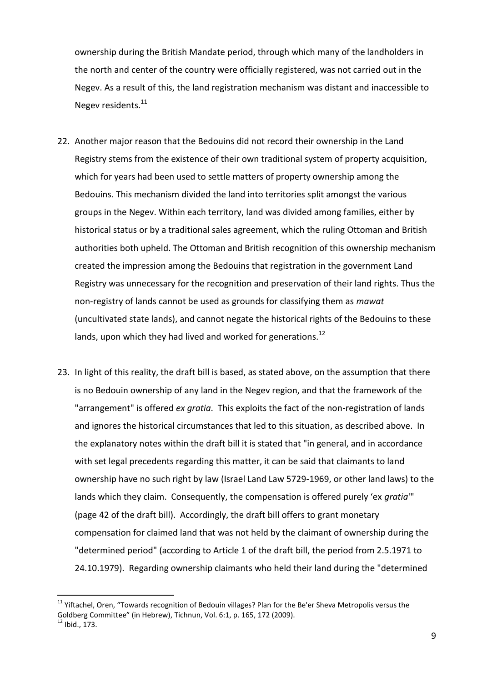ownership during the British Mandate period, through which many of the landholders in the north and center of the country were officially registered, was not carried out in the Negev. As a result of this, the land registration mechanism was distant and inaccessible to Negev residents.<sup>11</sup>

- 22. Another major reason that the Bedouins did not record their ownership in the Land Registry stems from the existence of their own traditional system of property acquisition, which for years had been used to settle matters of property ownership among the Bedouins. This mechanism divided the land into territories split amongst the various groups in the Negev. Within each territory, land was divided among families, either by historical status or by a traditional sales agreement, which the ruling Ottoman and British authorities both upheld. The Ottoman and British recognition of this ownership mechanism created the impression among the Bedouins that registration in the government Land Registry was unnecessary for the recognition and preservation of their land rights. Thus the non-registry of lands cannot be used as grounds for classifying them as *mawat* (uncultivated state lands), and cannot negate the historical rights of the Bedouins to these lands, upon which they had lived and worked for generations.<sup>12</sup>
- 23. In light of this reality, the draft bill is based, as stated above, on the assumption that there is no Bedouin ownership of any land in the Negev region, and that the framework of the "arrangement" is offered *ex gratia*. This exploits the fact of the non-registration of lands and ignores the historical circumstances that led to this situation, as described above. In the explanatory notes within the draft bill it is stated that "in general, and in accordance with set legal precedents regarding this matter, it can be said that claimants to land ownership have no such right by law (Israel Land Law 5729-1969, or other land laws) to the lands which they claim. Consequently, the compensation is offered purely 'ex *gratia*'" (page 42 of the draft bill). Accordingly, the draft bill offers to grant monetary compensation for claimed land that was not held by the claimant of ownership during the "determined period" (according to Article 1 of the draft bill, the period from 2.5.1971 to 24.10.1979). Regarding ownership claimants who held their land during the "determined

 $\overline{a}$ 

<sup>&</sup>lt;sup>11</sup> Yiftachel, Oren, "Towards recognition of Bedouin villages? Plan for the Be'er Sheva Metropolis versus the Goldberg Committee" (in Hebrew), Tichnun, Vol. 6:1, p. 165, 172 (2009).

 $12$  Ibid., 173.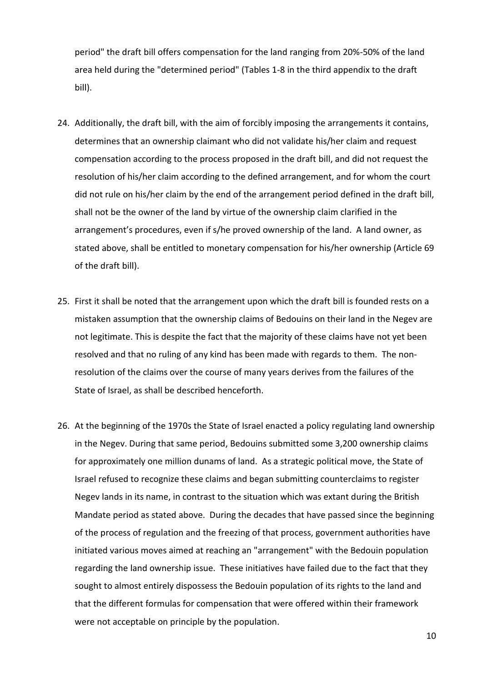period" the draft bill offers compensation for the land ranging from 20%-50% of the land area held during the "determined period" (Tables 1-8 in the third appendix to the draft bill).

- 24. Additionally, the draft bill, with the aim of forcibly imposing the arrangements it contains, determines that an ownership claimant who did not validate his/her claim and request compensation according to the process proposed in the draft bill, and did not request the resolution of his/her claim according to the defined arrangement, and for whom the court did not rule on his/her claim by the end of the arrangement period defined in the draft bill, shall not be the owner of the land by virtue of the ownership claim clarified in the arrangement's procedures, even if s/he proved ownership of the land. A land owner, as stated above, shall be entitled to monetary compensation for his/her ownership (Article 69 of the draft bill).
- 25. First it shall be noted that the arrangement upon which the draft bill is founded rests on a mistaken assumption that the ownership claims of Bedouins on their land in the Negev are not legitimate. This is despite the fact that the majority of these claims have not yet been resolved and that no ruling of any kind has been made with regards to them. The nonresolution of the claims over the course of many years derives from the failures of the State of Israel, as shall be described henceforth.
- 26. At the beginning of the 1970s the State of Israel enacted a policy regulating land ownership in the Negev. During that same period, Bedouins submitted some 3,200 ownership claims for approximately one million dunams of land. As a strategic political move, the State of Israel refused to recognize these claims and began submitting counterclaims to register Negev lands in its name, in contrast to the situation which was extant during the British Mandate period as stated above. During the decades that have passed since the beginning of the process of regulation and the freezing of that process, government authorities have initiated various moves aimed at reaching an "arrangement" with the Bedouin population regarding the land ownership issue. These initiatives have failed due to the fact that they sought to almost entirely dispossess the Bedouin population of its rights to the land and that the different formulas for compensation that were offered within their framework were not acceptable on principle by the population.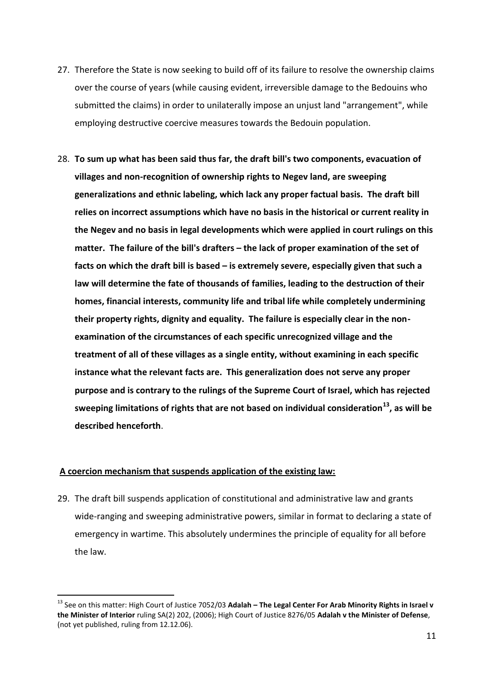- 27. Therefore the State is now seeking to build off of its failure to resolve the ownership claims over the course of years (while causing evident, irreversible damage to the Bedouins who submitted the claims) in order to unilaterally impose an unjust land "arrangement", while employing destructive coercive measures towards the Bedouin population.
- 28. **To sum up what has been said thus far, the draft bill's two components, evacuation of villages and non-recognition of ownership rights to Negev land, are sweeping generalizations and ethnic labeling, which lack any proper factual basis. The draft bill relies on incorrect assumptions which have no basis in the historical or current reality in the Negev and no basis in legal developments which were applied in court rulings on this matter. The failure of the bill's drafters – the lack of proper examination of the set of facts on which the draft bill is based – is extremely severe, especially given that such a law will determine the fate of thousands of families, leading to the destruction of their homes, financial interests, community life and tribal life while completely undermining their property rights, dignity and equality. The failure is especially clear in the nonexamination of the circumstances of each specific unrecognized village and the treatment of all of these villages as a single entity, without examining in each specific instance what the relevant facts are. This generalization does not serve any proper purpose and is contrary to the rulings of the Supreme Court of Israel, which has rejected sweeping limitations of rights that are not based on individual consideration<sup>13</sup>, as will be described henceforth**.

### **A coercion mechanism that suspends application of the existing law:**

 $\overline{a}$ 

29. The draft bill suspends application of constitutional and administrative law and grants wide-ranging and sweeping administrative powers, similar in format to declaring a state of emergency in wartime. This absolutely undermines the principle of equality for all before the law.

<sup>13</sup> See on this matter: High Court of Justice 7052/03 **Adalah – The Legal Center For Arab Minority Rights in Israel v the Minister of Interior** ruling SA(2) 202, (2006); High Court of Justice 8276/05 **Adalah v the Minister of Defense**, (not yet published, ruling from 12.12.06).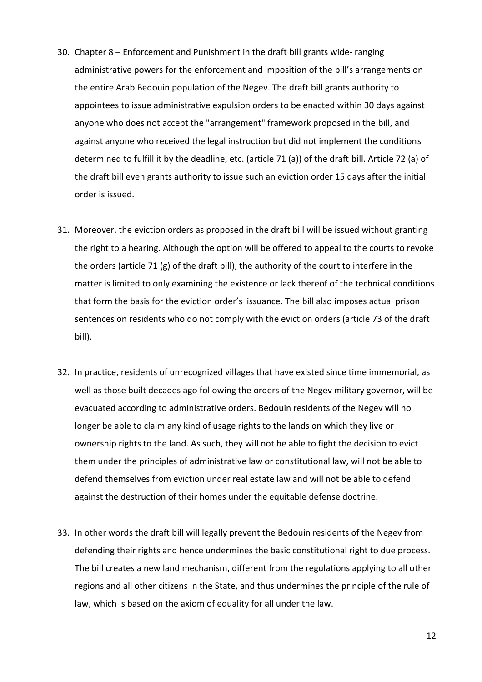- 30. Chapter 8 Enforcement and Punishment in the draft bill grants wide- ranging administrative powers for the enforcement and imposition of the bill's arrangements on the entire Arab Bedouin population of the Negev. The draft bill grants authority to appointees to issue administrative expulsion orders to be enacted within 30 days against anyone who does not accept the "arrangement" framework proposed in the bill, and against anyone who received the legal instruction but did not implement the conditions determined to fulfill it by the deadline, etc. (article 71 (a)) of the draft bill. Article 72 (a) of the draft bill even grants authority to issue such an eviction order 15 days after the initial order is issued.
- 31. Moreover, the eviction orders as proposed in the draft bill will be issued without granting the right to a hearing. Although the option will be offered to appeal to the courts to revoke the orders (article 71 (g) of the draft bill), the authority of the court to interfere in the matter is limited to only examining the existence or lack thereof of the technical conditions that form the basis for the eviction order's issuance. The bill also imposes actual prison sentences on residents who do not comply with the eviction orders (article 73 of the draft bill).
- 32. In practice, residents of unrecognized villages that have existed since time immemorial, as well as those built decades ago following the orders of the Negev military governor, will be evacuated according to administrative orders. Bedouin residents of the Negev will no longer be able to claim any kind of usage rights to the lands on which they live or ownership rights to the land. As such, they will not be able to fight the decision to evict them under the principles of administrative law or constitutional law, will not be able to defend themselves from eviction under real estate law and will not be able to defend against the destruction of their homes under the equitable defense doctrine.
- 33. In other words the draft bill will legally prevent the Bedouin residents of the Negev from defending their rights and hence undermines the basic constitutional right to due process. The bill creates a new land mechanism, different from the regulations applying to all other regions and all other citizens in the State, and thus undermines the principle of the rule of law, which is based on the axiom of equality for all under the law.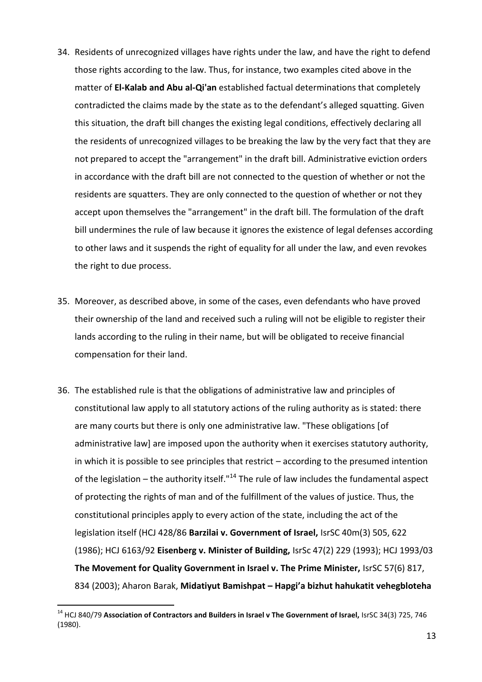- 34. Residents of unrecognized villages have rights under the law, and have the right to defend those rights according to the law. Thus, for instance, two examples cited above in the matter of **El-Kalab and Abu al-Qi'an** established factual determinations that completely contradicted the claims made by the state as to the defendant's alleged squatting. Given this situation, the draft bill changes the existing legal conditions, effectively declaring all the residents of unrecognized villages to be breaking the law by the very fact that they are not prepared to accept the "arrangement" in the draft bill. Administrative eviction orders in accordance with the draft bill are not connected to the question of whether or not the residents are squatters. They are only connected to the question of whether or not they accept upon themselves the "arrangement" in the draft bill. The formulation of the draft bill undermines the rule of law because it ignores the existence of legal defenses according to other laws and it suspends the right of equality for all under the law, and even revokes the right to due process.
- 35. Moreover, as described above, in some of the cases, even defendants who have proved their ownership of the land and received such a ruling will not be eligible to register their lands according to the ruling in their name, but will be obligated to receive financial compensation for their land.
- 36. The established rule is that the obligations of administrative law and principles of constitutional law apply to all statutory actions of the ruling authority as is stated: there are many courts but there is only one administrative law. "These obligations [of administrative law] are imposed upon the authority when it exercises statutory authority, in which it is possible to see principles that restrict – according to the presumed intention of the legislation – the authority itself."<sup>14</sup> The rule of law includes the fundamental aspect of protecting the rights of man and of the fulfillment of the values of justice. Thus, the constitutional principles apply to every action of the state, including the act of the legislation itself (HCJ 428/86 **Barzilai v. Government of Israel,** IsrSC 40m(3) 505, 622 (1986); HCJ 6163/92 **Eisenberg v. Minister of Building,** IsrSc 47(2) 229 (1993); HCJ 1993/03 **The Movement for Quality Government in Israel v. The Prime Minister,** IsrSC 57(6) 817, 834 (2003); Aharon Barak, **Midatiyut Bamishpat – Hapgi'a bizhut hahukatit vehegbloteha**

l

<sup>&</sup>lt;sup>14</sup> HCJ 840/79 Association of Contractors and Builders in Israel v The Government of Israel, IsrSC 34(3) 725, 746 (1980).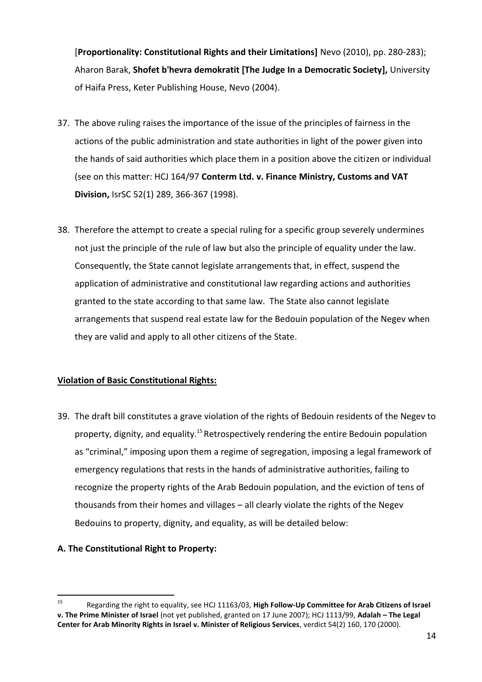[**Proportionality: Constitutional Rights and their Limitations]** Nevo (2010), pp. 280-283); Aharon Barak, **Shofet b'hevra demokratit [The Judge In a Democratic Society],** University of Haifa Press, Keter Publishing House, Nevo (2004).

- 37. The above ruling raises the importance of the issue of the principles of fairness in the actions of the public administration and state authorities in light of the power given into the hands of said authorities which place them in a position above the citizen or individual (see on this matter: HCJ 164/97 **Conterm Ltd. v. Finance Ministry, Customs and VAT Division,** IsrSC 52(1) 289, 366-367 (1998).
- 38. Therefore the attempt to create a special ruling for a specific group severely undermines not just the principle of the rule of law but also the principle of equality under the law. Consequently, the State cannot legislate arrangements that, in effect, suspend the application of administrative and constitutional law regarding actions and authorities granted to the state according to that same law. The State also cannot legislate arrangements that suspend real estate law for the Bedouin population of the Negev when they are valid and apply to all other citizens of the State.

# **Violation of Basic Constitutional Rights:**

39. The draft bill constitutes a grave violation of the rights of Bedouin residents of the Negev to property, dignity, and equality.<sup>15</sup> Retrospectively rendering the entire Bedouin population as "criminal," imposing upon them a regime of segregation, imposing a legal framework of emergency regulations that rests in the hands of administrative authorities, failing to recognize the property rights of the Arab Bedouin population, and the eviction of tens of thousands from their homes and villages – all clearly violate the rights of the Negev Bedouins to property, dignity, and equality, as will be detailed below:

# **A. The Constitutional Right to Property:**

<sup>15</sup> <sup>15</sup> Regarding the right to equality, see HCJ 11163/03, **High Follow-Up Committee for Arab Citizens of Israel v. The Prime Minister of Israel** (not yet published, granted on 17 June 2007); HCJ 1113/99, **Adalah – The Legal Center for Arab Minority Rights in Israel v. Minister of Religious Services**, verdict 54(2) 160, 170 (2000).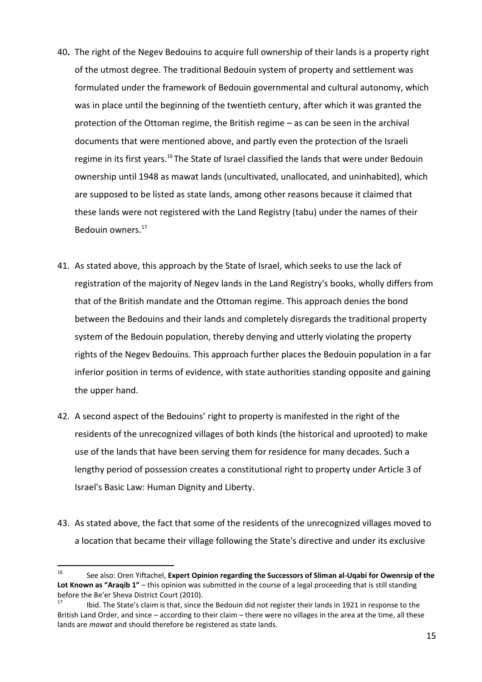- 40**.** The right of the Negev Bedouins to acquire full ownership of their lands is a property right of the utmost degree. The traditional Bedouin system of property and settlement was formulated under the framework of Bedouin governmental and cultural autonomy, which was in place until the beginning of the twentieth century, after which it was granted the protection of the Ottoman regime, the British regime – as can be seen in the archival documents that were mentioned above, and partly even the protection of the Israeli regime in its first years.<sup>16</sup> The State of Israel classified the lands that were under Bedouin ownership until 1948 as mawat lands (uncultivated, unallocated, and uninhabited), which are supposed to be listed as state lands, among other reasons because it claimed that these lands were not registered with the Land Registry (tabu) under the names of their Bedouin owners.<sup>17</sup>
- 41. As stated above, this approach by the State of Israel, which seeks to use the lack of registration of the majority of Negev lands in the Land Registry's books, wholly differs from that of the British mandate and the Ottoman regime. This approach denies the bond between the Bedouins and their lands and completely disregards the traditional property system of the Bedouin population, thereby denying and utterly violating the property rights of the Negev Bedouins. This approach further places the Bedouin population in a far inferior position in terms of evidence, with state authorities standing opposite and gaining the upper hand.
- 42. A second aspect of the Bedouins' right to property is manifested in the right of the residents of the unrecognized villages of both kinds (the historical and uprooted) to make use of the lands that have been serving them for residence for many decades. Such a lengthy period of possession creates a constitutional right to property under Article 3 of Israel's Basic Law: Human Dignity and Liberty.
- 43. As stated above, the fact that some of the residents of the unrecognized villages moved to a location that became their village following the State's directive and under its exclusive

 $16\,$ <sup>16</sup> See also: Oren Yiftachel, **Expert Opinion regarding the Successors of Sliman al-Uqabi for Owenrsip of the Lot Known as "Araqib 1"** – this opinion was submitted in the course of a legal proceeding that is still standing before the Be'er Sheva District Court (2010).<br><sup>17</sup> Heid The State's slaim is that since the

<sup>17</sup> Ibid. The State's claim is that, since the Bedouin did not register their lands in 1921 in response to the British Land Order, and since – according to their claim – there were no villages in the area at the time, all these lands are *mawat* and should therefore be registered as state lands.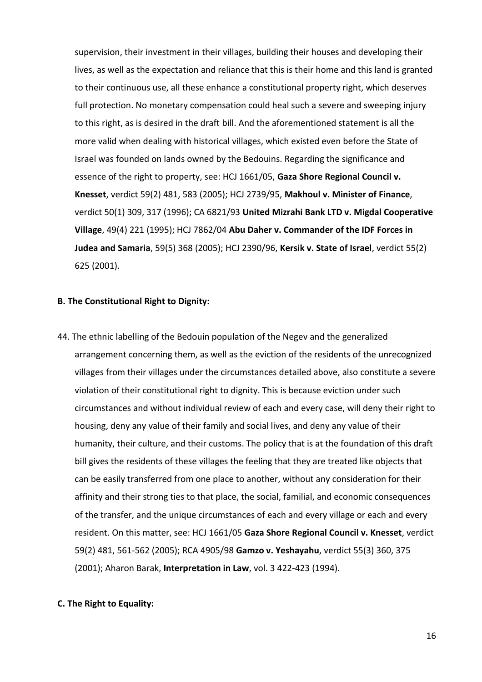supervision, their investment in their villages, building their houses and developing their lives, as well as the expectation and reliance that this is their home and this land is granted to their continuous use, all these enhance a constitutional property right, which deserves full protection. No monetary compensation could heal such a severe and sweeping injury to this right, as is desired in the draft bill. And the aforementioned statement is all the more valid when dealing with historical villages, which existed even before the State of Israel was founded on lands owned by the Bedouins. Regarding the significance and essence of the right to property, see: HCJ 1661/05, **Gaza Shore Regional Council v. Knesset**, verdict 59(2) 481, 583 (2005); HCJ 2739/95, **Makhoul v. Minister of Finance**, verdict 50(1) 309, 317 (1996); CA 6821/93 **United Mizrahi Bank LTD v. Migdal Cooperative Village**, 49(4) 221 (1995); HCJ 7862/04 **Abu Daher v. Commander of the IDF Forces in Judea and Samaria**, 59(5) 368 (2005); HCJ 2390/96, **Kersik v. State of Israel**, verdict 55(2) 625 (2001).

### **B. The Constitutional Right to Dignity:**

44. The ethnic labelling of the Bedouin population of the Negev and the generalized arrangement concerning them, as well as the eviction of the residents of the unrecognized villages from their villages under the circumstances detailed above, also constitute a severe violation of their constitutional right to dignity. This is because eviction under such circumstances and without individual review of each and every case, will deny their right to housing, deny any value of their family and social lives, and deny any value of their humanity, their culture, and their customs. The policy that is at the foundation of this draft bill gives the residents of these villages the feeling that they are treated like objects that can be easily transferred from one place to another, without any consideration for their affinity and their strong ties to that place, the social, familial, and economic consequences of the transfer, and the unique circumstances of each and every village or each and every resident. On this matter, see: HCJ 1661/05 **Gaza Shore Regional Council v. Knesset**, verdict 59(2) 481, 561-562 (2005); RCA 4905/98 **Gamzo v. Yeshayahu**, verdict 55(3) 360, 375 (2001); Aharon Barak, **Interpretation in Law**, vol. 3 422-423 (1994).

#### **C. The Right to Equality:**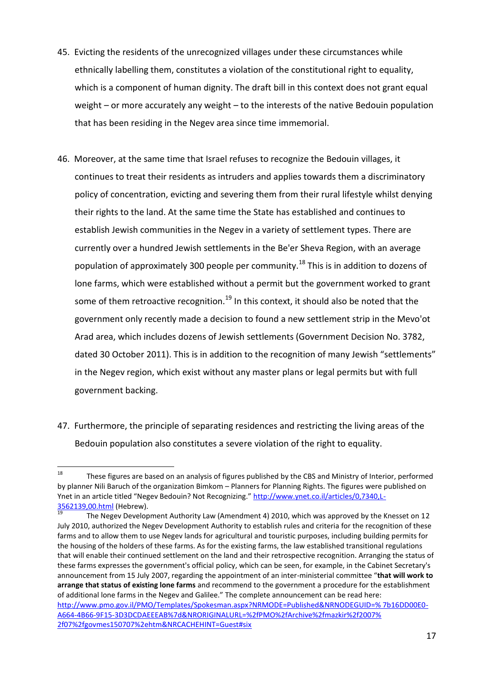- 45. Evicting the residents of the unrecognized villages under these circumstances while ethnically labelling them, constitutes a violation of the constitutional right to equality, which is a component of human dignity. The draft bill in this context does not grant equal weight – or more accurately any weight – to the interests of the native Bedouin population that has been residing in the Negev area since time immemorial.
- 46. Moreover, at the same time that Israel refuses to recognize the Bedouin villages, it continues to treat their residents as intruders and applies towards them a discriminatory policy of concentration, evicting and severing them from their rural lifestyle whilst denying their rights to the land. At the same time the State has established and continues to establish Jewish communities in the Negev in a variety of settlement types. There are currently over a hundred Jewish settlements in the Be'er Sheva Region, with an average population of approximately 300 people per community.<sup>18</sup> This is in addition to dozens of lone farms, which were established without a permit but the government worked to grant some of them retroactive recognition.<sup>19</sup> In this context, it should also be noted that the government only recently made a decision to found a new settlement strip in the Mevo'ot Arad area, which includes dozens of Jewish settlements (Government Decision No. 3782, dated 30 October 2011). This is in addition to the recognition of many Jewish "settlements" in the Negev region, which exist without any master plans or legal permits but with full government backing.
- 47. Furthermore, the principle of separating residences and restricting the living areas of the Bedouin population also constitutes a severe violation of the right to equality.

<sup>18</sup> These figures are based on an analysis of figures published by the CBS and Ministry of Interior, performed by planner Nili Baruch of the organization Bimkom – Planners for Planning Rights. The figures were published on Ynet in an article titled "Negev Bedouin? Not Recognizing." [http://www.ynet.co.il/articles/0,7340,L-](http://www.ynet.co.il/articles/0,7340,L-3562139,00.html)[3562139,00.html](http://www.ynet.co.il/articles/0,7340,L-3562139,00.html) (Hebrew).

<sup>19</sup> The Negev Development Authority Law (Amendment 4) 2010, which was approved by the Knesset on 12 July 2010, authorized the Negev Development Authority to establish rules and criteria for the recognition of these farms and to allow them to use Negev lands for agricultural and touristic purposes, including building permits for the housing of the holders of these farms. As for the existing farms, the law established transitional regulations that will enable their continued settlement on the land and their retrospective recognition. Arranging the status of these farms expresses the government's official policy, which can be seen, for example, in the Cabinet Secretary's announcement from 15 July 2007, regarding the appointment of an inter-ministerial committee "**that will work to arrange that status of existing lone farms** and recommend to the government a procedure for the establishment of additional lone farms in the Negev and Galilee." The complete announcement can be read here: [http://www.pmo.gov.il/PMO/Templates/Spokesman.aspx?NRMODE=Published&NRNODEGUID=% 7b16DD00E0-](http://www.pmo.gov.il/PMO/Templates/Spokesman.aspx?NRMODE=Published&NRNODEGUID=%25%207b16DD00E0-A664-4B66-9F15-3D3DCDAEEEAB%7d&NRORIGINALURL=%2FPMO%2FArchive%2Fmazkir%2F2007%25%202f07%2Fgovmes150707.htm&NRCACHEHINT=Guest#six) [A664-4B66-9F15-3D3DCDAEEEAB%7d&NRORIGINALURL=%2fPMO%2fArchive%2fmazkir%2f2007%](http://www.pmo.gov.il/PMO/Templates/Spokesman.aspx?NRMODE=Published&NRNODEGUID=%25%207b16DD00E0-A664-4B66-9F15-3D3DCDAEEEAB%7d&NRORIGINALURL=%2FPMO%2FArchive%2Fmazkir%2F2007%25%202f07%2Fgovmes150707.htm&NRCACHEHINT=Guest#six)  [2f07%2fgovmes150707%2ehtm&NRCACHEHINT=Guest#six](http://www.pmo.gov.il/PMO/Templates/Spokesman.aspx?NRMODE=Published&NRNODEGUID=%25%207b16DD00E0-A664-4B66-9F15-3D3DCDAEEEAB%7d&NRORIGINALURL=%2FPMO%2FArchive%2Fmazkir%2F2007%25%202f07%2Fgovmes150707.htm&NRCACHEHINT=Guest#six)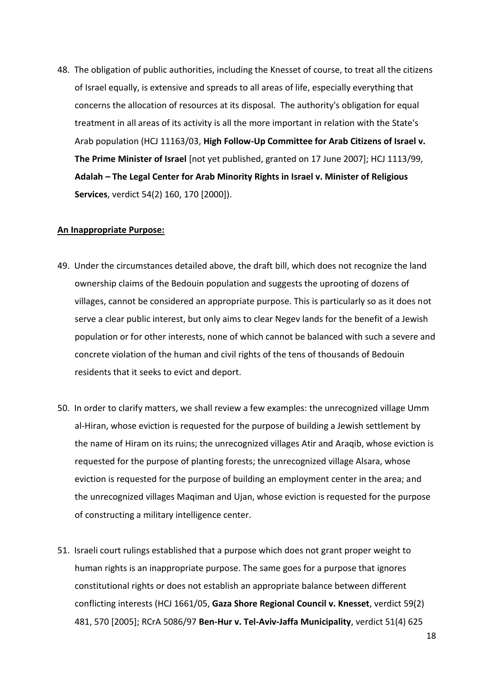48. The obligation of public authorities, including the Knesset of course, to treat all the citizens of Israel equally, is extensive and spreads to all areas of life, especially everything that concerns the allocation of resources at its disposal. The authority's obligation for equal treatment in all areas of its activity is all the more important in relation with the State's Arab population (HCJ 11163/03, **High Follow-Up Committee for Arab Citizens of Israel v. The Prime Minister of Israel** [not yet published, granted on 17 June 2007]; HCJ 1113/99, **Adalah – The Legal Center for Arab Minority Rights in Israel v. Minister of Religious Services**, verdict 54(2) 160, 170 [2000]).

#### **An Inappropriate Purpose:**

- 49. Under the circumstances detailed above, the draft bill, which does not recognize the land ownership claims of the Bedouin population and suggests the uprooting of dozens of villages, cannot be considered an appropriate purpose. This is particularly so as it does not serve a clear public interest, but only aims to clear Negev lands for the benefit of a Jewish population or for other interests, none of which cannot be balanced with such a severe and concrete violation of the human and civil rights of the tens of thousands of Bedouin residents that it seeks to evict and deport.
- 50. In order to clarify matters, we shall review a few examples: the unrecognized village Umm al-Hiran, whose eviction is requested for the purpose of building a Jewish settlement by the name of Hiram on its ruins; the unrecognized villages Atir and Araqib, whose eviction is requested for the purpose of planting forests; the unrecognized village Alsara, whose eviction is requested for the purpose of building an employment center in the area; and the unrecognized villages Maqiman and Ujan, whose eviction is requested for the purpose of constructing a military intelligence center.
- 51. Israeli court rulings established that a purpose which does not grant proper weight to human rights is an inappropriate purpose. The same goes for a purpose that ignores constitutional rights or does not establish an appropriate balance between different conflicting interests (HCJ 1661/05, **Gaza Shore Regional Council v. Knesset**, verdict 59(2) 481, 570 [2005]; RCrA 5086/97 **Ben-Hur v. Tel-Aviv-Jaffa Municipality**, verdict 51(4) 625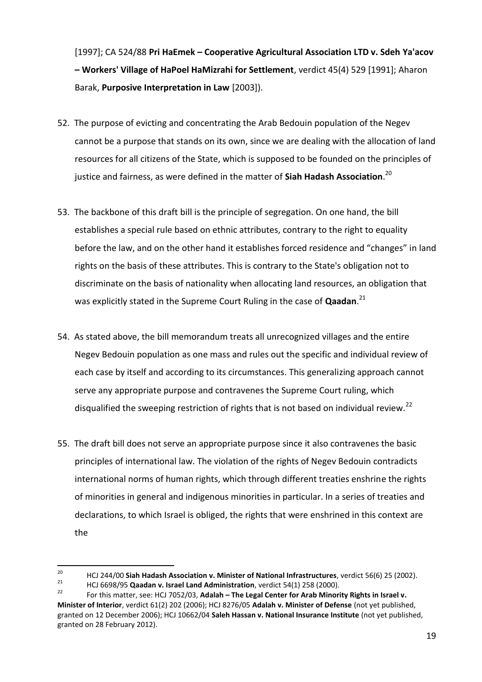[1997]; CA 524/88 **Pri HaEmek – Cooperative Agricultural Association LTD v. Sdeh Ya'acov – Workers' Village of HaPoel HaMizrahi for Settlement**, verdict 45(4) 529 [1991]; Aharon Barak, **Purposive Interpretation in Law** [2003]).

- 52. The purpose of evicting and concentrating the Arab Bedouin population of the Negev cannot be a purpose that stands on its own, since we are dealing with the allocation of land resources for all citizens of the State, which is supposed to be founded on the principles of justice and fairness, as were defined in the matter of **Siah Hadash Association**. 20
- 53. The backbone of this draft bill is the principle of segregation. On one hand, the bill establishes a special rule based on ethnic attributes, contrary to the right to equality before the law, and on the other hand it establishes forced residence and "changes" in land rights on the basis of these attributes. This is contrary to the State's obligation not to discriminate on the basis of nationality when allocating land resources, an obligation that was explicitly stated in the Supreme Court Ruling in the case of **Qaadan**. 21
- 54. As stated above, the bill memorandum treats all unrecognized villages and the entire Negev Bedouin population as one mass and rules out the specific and individual review of each case by itself and according to its circumstances. This generalizing approach cannot serve any appropriate purpose and contravenes the Supreme Court ruling, which disqualified the sweeping restriction of rights that is not based on individual review.<sup>22</sup>
- 55. The draft bill does not serve an appropriate purpose since it also contravenes the basic principles of international law. The violation of the rights of Negev Bedouin contradicts international norms of human rights, which through different treaties enshrine the rights of minorities in general and indigenous minorities in particular. In a series of treaties and declarations, to which Israel is obliged, the rights that were enshrined in this context are the

<sup>20</sup> <sup>20</sup> HCJ 244/00 **Siah Hadash Association v. Minister of National Infrastructures**, verdict 56(6) 25 (2002).

<sup>21</sup> HCJ 6698/95 **Qaadan v. Israel Land Administration**, verdict 54(1) 258 (2000).

<sup>22</sup> For this matter, see: HCJ 7052/03, **Adalah – The Legal Center for Arab Minority Rights in Israel v. Minister of Interior**, verdict 61(2) 202 (2006); HCJ 8276/05 **Adalah v. Minister of Defense** (not yet published, granted on 12 December 2006); HCJ 10662/04 **Saleh Hassan v. National Insurance Institute** (not yet published, granted on 28 February 2012).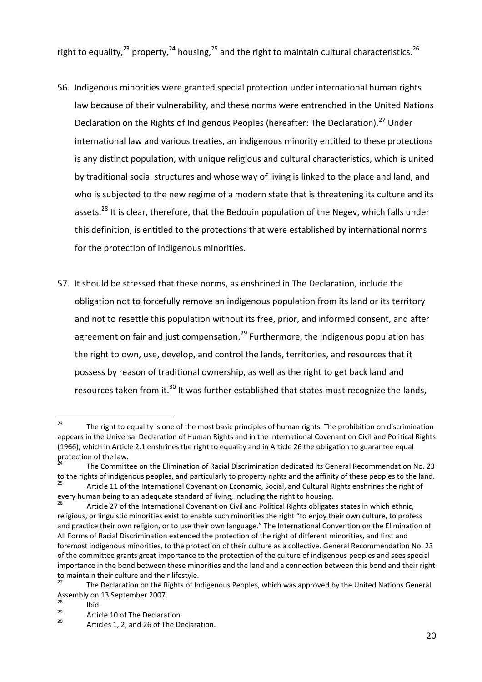right to equality,<sup>23</sup> property,<sup>24</sup> housing,<sup>25</sup> and the right to maintain cultural characteristics.<sup>26</sup>

- 56. Indigenous minorities were granted special protection under international human rights law because of their vulnerability, and these norms were entrenched in the United Nations Declaration on the Rights of Indigenous Peoples (hereafter: The Declaration).<sup>27</sup> Under international law and various treaties, an indigenous minority entitled to these protections is any distinct population, with unique religious and cultural characteristics, which is united by traditional social structures and whose way of living is linked to the place and land, and who is subjected to the new regime of a modern state that is threatening its culture and its assets.<sup>28</sup> It is clear, therefore, that the Bedouin population of the Negev, which falls under this definition, is entitled to the protections that were established by international norms for the protection of indigenous minorities.
- 57. It should be stressed that these norms, as enshrined in The Declaration, include the obligation not to forcefully remove an indigenous population from its land or its territory and not to resettle this population without its free, prior, and informed consent, and after agreement on fair and just compensation.<sup>29</sup> Furthermore, the indigenous population has the right to own, use, develop, and control the lands, territories, and resources that it possess by reason of traditional ownership, as well as the right to get back land and resources taken from it. $30$  It was further established that states must recognize the lands,

 $23$ The right to equality is one of the most basic principles of human rights. The prohibition on discrimination appears in the Universal Declaration of Human Rights and in the International Covenant on Civil and Political Rights (1966), which in Article 2.1 enshrines the right to equality and in Article 26 the obligation to guarantee equal protection of the law.

<sup>24</sup> The Committee on the Elimination of Racial Discrimination dedicated its General Recommendation No. 23 to the rights of indigenous peoples, and particularly to property rights and the affinity of these peoples to the land. Article 11 of the International Covenant on Economic, Social, and Cultural Rights enshrines the right of every human being to an adequate standard of living, including the right to housing.

Article 27 of the International Covenant on Civil and Political Rights obligates states in which ethnic, religious, or linguistic minorities exist to enable such minorities the right "to enjoy their own culture, to profess and practice their own religion, or to use their own language." The International Convention on the Elimination of All Forms of Racial Discrimination extended the protection of the right of different minorities, and first and foremost indigenous minorities, to the protection of their culture as a collective. General Recommendation No. 23 of the committee grants great importance to the protection of the culture of indigenous peoples and sees special importance in the bond between these minorities and the land and a connection between this bond and their right to maintain their culture and their lifestyle.

The Declaration on the Rights of Indigenous Peoples, which was approved by the United Nations General Assembly on 13 September 2007.

 $2<sup>28</sup>$  Ibid.

 $^{29}$  Article 10 of The Declaration.

Articles 1, 2, and 26 of The Declaration.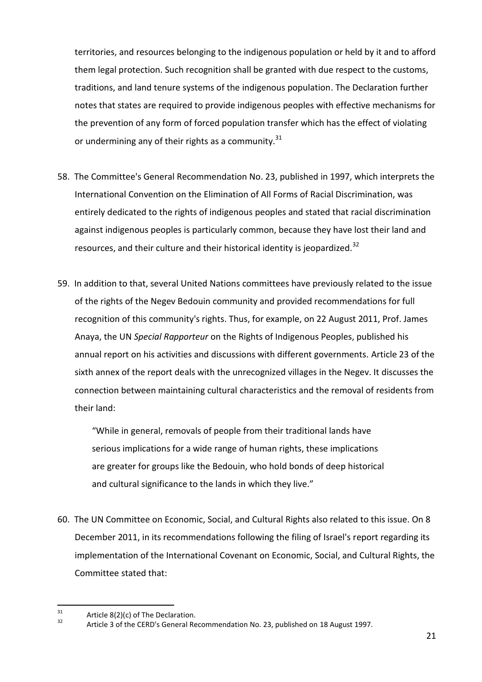territories, and resources belonging to the indigenous population or held by it and to afford them legal protection. Such recognition shall be granted with due respect to the customs, traditions, and land tenure systems of the indigenous population. The Declaration further notes that states are required to provide indigenous peoples with effective mechanisms for the prevention of any form of forced population transfer which has the effect of violating or undermining any of their rights as a community.<sup>31</sup>

- 58. The Committee's General Recommendation No. 23, published in 1997, which interprets the International Convention on the Elimination of All Forms of Racial Discrimination, was entirely dedicated to the rights of indigenous peoples and stated that racial discrimination against indigenous peoples is particularly common, because they have lost their land and resources, and their culture and their historical identity is jeopardized.<sup>32</sup>
- 59. In addition to that, several United Nations committees have previously related to the issue of the rights of the Negev Bedouin community and provided recommendations for full recognition of this community's rights. Thus, for example, on 22 August 2011, Prof. James Anaya, the UN *Special Rapporteur* on the Rights of Indigenous Peoples, published his annual report on his activities and discussions with different governments. Article 23 of the sixth annex of the report deals with the unrecognized villages in the Negev. It discusses the connection between maintaining cultural characteristics and the removal of residents from their land:

"While in general, removals of people from their traditional lands have serious implications for a wide range of human rights, these implications are greater for groups like the Bedouin, who hold bonds of deep historical and cultural significance to the lands in which they live."

60. The UN Committee on Economic, Social, and Cultural Rights also related to this issue. On 8 December 2011, in its recommendations following the filing of Israel's report regarding its implementation of the International Covenant on Economic, Social, and Cultural Rights, the Committee stated that:

 $31$  $31$  Article 8(2)(c) of The Declaration.

Article 3 of the CERD's General Recommendation No. 23, published on 18 August 1997.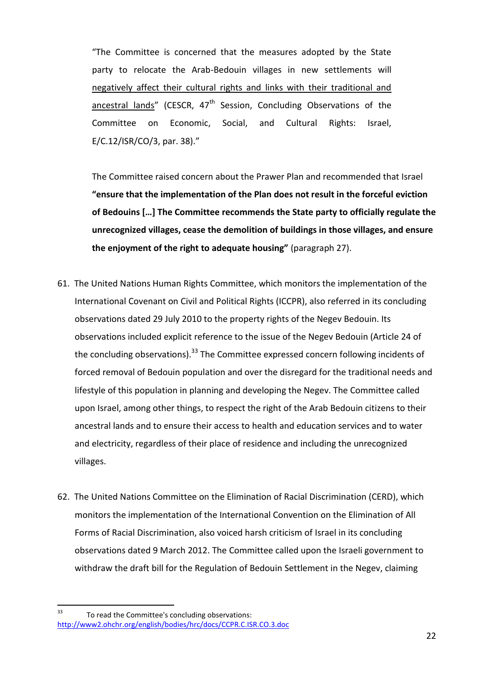"The Committee is concerned that the measures adopted by the State party to relocate the Arab-Bedouin villages in new settlements will negatively affect their cultural rights and links with their traditional and ancestral lands" (CESCR,  $47<sup>th</sup>$  Session, Concluding Observations of the Committee on Economic, Social, and Cultural Rights: Israel, E/C.12/ISR/CO/3, par. 38)."

The Committee raised concern about the Prawer Plan and recommended that Israel **"ensure that the implementation of the Plan does not result in the forceful eviction of Bedouins […] The Committee recommends the State party to officially regulate the unrecognized villages, cease the demolition of buildings in those villages, and ensure the enjoyment of the right to adequate housing"** (paragraph 27).

- 61. The United Nations Human Rights Committee, which monitors the implementation of the International Covenant on Civil and Political Rights (ICCPR), also referred in its concluding observations dated 29 July 2010 to the property rights of the Negev Bedouin. Its observations included explicit reference to the issue of the Negev Bedouin (Article 24 of the concluding observations). $33$  The Committee expressed concern following incidents of forced removal of Bedouin population and over the disregard for the traditional needs and lifestyle of this population in planning and developing the Negev. The Committee called upon Israel, among other things, to respect the right of the Arab Bedouin citizens to their ancestral lands and to ensure their access to health and education services and to water and electricity, regardless of their place of residence and including the unrecognized villages.
- 62. The United Nations Committee on the Elimination of Racial Discrimination (CERD), which monitors the implementation of the International Convention on the Elimination of All Forms of Racial Discrimination, also voiced harsh criticism of Israel in its concluding observations dated 9 March 2012. The Committee called upon the Israeli government to withdraw the draft bill for the Regulation of Bedouin Settlement in the Negev, claiming

 $33$ To read the Committee's concluding observations: <http://www2.ohchr.org/english/bodies/hrc/docs/CCPR.C.ISR.CO.3.doc>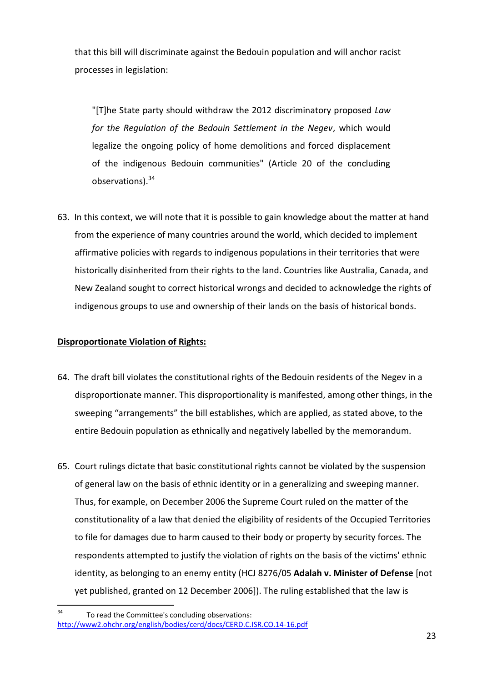that this bill will discriminate against the Bedouin population and will anchor racist processes in legislation:

"[T]he State party should withdraw the 2012 discriminatory proposed *Law for the Regulation of the Bedouin Settlement in the Negev*, which would legalize the ongoing policy of home demolitions and forced displacement of the indigenous Bedouin communities" (Article 20 of the concluding observations).<sup>34</sup>

63. In this context, we will note that it is possible to gain knowledge about the matter at hand from the experience of many countries around the world, which decided to implement affirmative policies with regards to indigenous populations in their territories that were historically disinherited from their rights to the land. Countries like Australia, Canada, and New Zealand sought to correct historical wrongs and decided to acknowledge the rights of indigenous groups to use and ownership of their lands on the basis of historical bonds.

# **Disproportionate Violation of Rights:**

- 64. The draft bill violates the constitutional rights of the Bedouin residents of the Negev in a disproportionate manner. This disproportionality is manifested, among other things, in the sweeping "arrangements" the bill establishes, which are applied, as stated above, to the entire Bedouin population as ethnically and negatively labelled by the memorandum.
- 65. Court rulings dictate that basic constitutional rights cannot be violated by the suspension of general law on the basis of ethnic identity or in a generalizing and sweeping manner. Thus, for example, on December 2006 the Supreme Court ruled on the matter of the constitutionality of a law that denied the eligibility of residents of the Occupied Territories to file for damages due to harm caused to their body or property by security forces. The respondents attempted to justify the violation of rights on the basis of the victims' ethnic identity, as belonging to an enemy entity (HCJ 8276/05 **Adalah v. Minister of Defense** [not yet published, granted on 12 December 2006]). The ruling established that the law is

 $34$ To read the Committee's concluding observations: <http://www2.ohchr.org/english/bodies/cerd/docs/CERD.C.ISR.CO.14-16.pdf>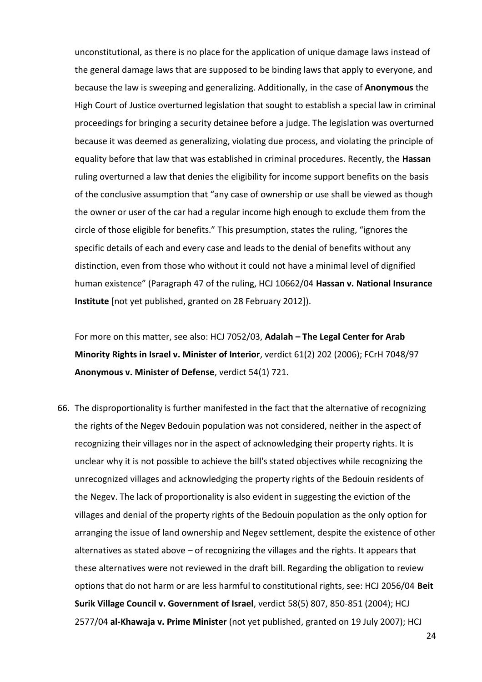unconstitutional, as there is no place for the application of unique damage laws instead of the general damage laws that are supposed to be binding laws that apply to everyone, and because the law is sweeping and generalizing. Additionally, in the case of **Anonymous** the High Court of Justice overturned legislation that sought to establish a special law in criminal proceedings for bringing a security detainee before a judge. The legislation was overturned because it was deemed as generalizing, violating due process, and violating the principle of equality before that law that was established in criminal procedures. Recently, the **Hassan** ruling overturned a law that denies the eligibility for income support benefits on the basis of the conclusive assumption that "any case of ownership or use shall be viewed as though the owner or user of the car had a regular income high enough to exclude them from the circle of those eligible for benefits." This presumption, states the ruling, "ignores the specific details of each and every case and leads to the denial of benefits without any distinction, even from those who without it could not have a minimal level of dignified human existence" (Paragraph 47 of the ruling, HCJ 10662/04 **Hassan v. National Insurance Institute** [not yet published, granted on 28 February 2012]).

For more on this matter, see also: HCJ 7052/03, **Adalah – The Legal Center for Arab Minority Rights in Israel v. Minister of Interior**, verdict 61(2) 202 (2006); FCrH 7048/97 **Anonymous v. Minister of Defense**, verdict 54(1) 721.

66. The disproportionality is further manifested in the fact that the alternative of recognizing the rights of the Negev Bedouin population was not considered, neither in the aspect of recognizing their villages nor in the aspect of acknowledging their property rights. It is unclear why it is not possible to achieve the bill's stated objectives while recognizing the unrecognized villages and acknowledging the property rights of the Bedouin residents of the Negev. The lack of proportionality is also evident in suggesting the eviction of the villages and denial of the property rights of the Bedouin population as the only option for arranging the issue of land ownership and Negev settlement, despite the existence of other alternatives as stated above – of recognizing the villages and the rights. It appears that these alternatives were not reviewed in the draft bill. Regarding the obligation to review options that do not harm or are less harmful to constitutional rights, see: HCJ 2056/04 **Beit Surik Village Council v. Government of Israel**, verdict 58(5) 807, 850-851 (2004); HCJ 2577/04 **al-Khawaja v. Prime Minister** (not yet published, granted on 19 July 2007); HCJ